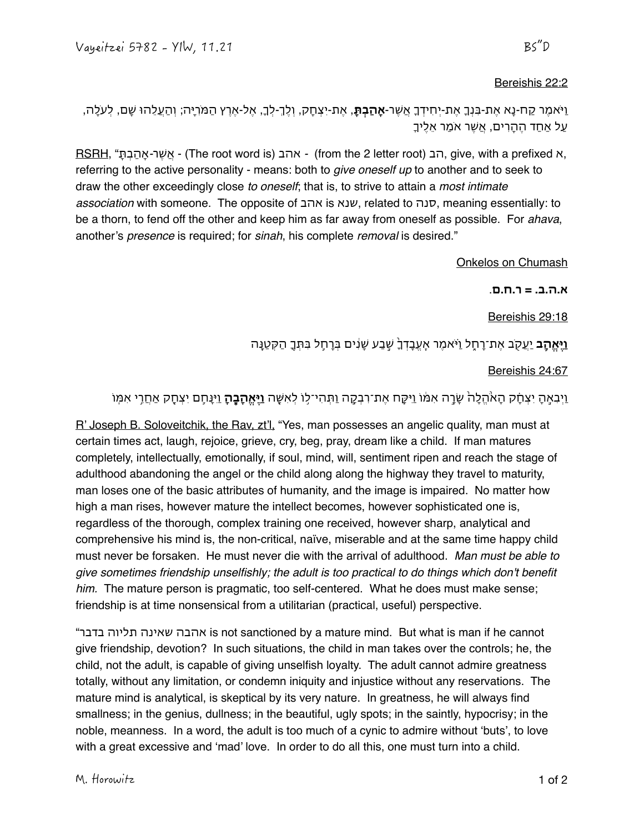## Bereishis 22:2

וַיֹאמֶר קח-נָא אֶת-בִנְָ אֶת-יְחִידָ אֲשֶר-**אָהַבְת**,**ָ** אֶת-יִצְחָק, וְל-ְֶל,ְָ אֶל-אֶרץ הַמֹריָה; וְהַעֲלֵהו שָם, לְעֹלָה, עַל אַחַד הֶהָרים, אֲשֶר אֹמַר אֵלֶיָ

RSRH, "ָתְבַהָא*-*רֶשֲא -) The root word is) אהב *-*)from the 2 letter root) הב, give, with a prefixed א, referring to the active personality - means: both to *give oneself up* to another and to seek to draw the other exceedingly close *to oneself*; that is, to strive to attain a *most intimate association* with someone. The opposite of אהב is שנא, related to סנה, meaning essentially: to be a thorn, to fend off the other and keep him as far away from oneself as possible. For *ahava*, another's *presence* is required; for *sinah*, his complete *removal* is desired."

Onkelos on Chumash

**א.ה.ב. = ר.ח.ם**.

Bereishis 29:18

# **וַיִּאֵהָב יַעֵק**ב אֶת־רָחָל וַיֹּאמֵר אֶעֱבָדְךָ שֶׁבַע שָׂנִים בִּרְחֶל בִּתְּךָ הַקִּטַנָּה

Bereishis 24:67

## וַיְבִאֶ֣הָ יִצְחָ֗ק הָאֹ֙הֱלָה֙ שָר֣ה אִמ֔ו וַיִקַ֧ח אֶת־רבְק֛ה וַתְהִי־ל֥ו לְאִשָ֖ה **וַיֶאֱהָבֶ֑הָ** וַיִנָחֵ֥ם יִצְחָ֖ק אַחֲר֥י אִמֽו

R' Joseph B. Soloveitchik, the Rav, zt'l, "Yes, man possesses an angelic quality, man must at certain times act, laugh, rejoice, grieve, cry, beg, pray, dream like a child. If man matures completely, intellectually, emotionally, if soul, mind, will, sentiment ripen and reach the stage of adulthood abandoning the angel or the child along along the highway they travel to maturity, man loses one of the basic attributes of humanity, and the image is impaired. No matter how high a man rises, however mature the intellect becomes, however sophisticated one is, regardless of the thorough, complex training one received, however sharp, analytical and comprehensive his mind is, the non-critical, naïve, miserable and at the same time happy child must never be forsaken. He must never die with the arrival of adulthood. *Man must be able to give sometimes friendship unselfishly; the adult is too practical to do things which don't benefit him.* The mature person is pragmatic, too self-centered. What he does must make sense; friendship is at time nonsensical from a utilitarian (practical, useful) perspective.

"בדבר תליוה שאינה אהבה is not sanctioned by a mature mind. But what is man if he cannot give friendship, devotion? In such situations, the child in man takes over the controls; he, the child, not the adult, is capable of giving unselfish loyalty. The adult cannot admire greatness totally, without any limitation, or condemn iniquity and injustice without any reservations. The mature mind is analytical, is skeptical by its very nature. In greatness, he will always find smallness; in the genius, dullness; in the beautiful, ugly spots; in the saintly, hypocrisy; in the noble, meanness. In a word, the adult is too much of a cynic to admire without 'buts', to love with a great excessive and 'mad' love. In order to do all this, one must turn into a child.